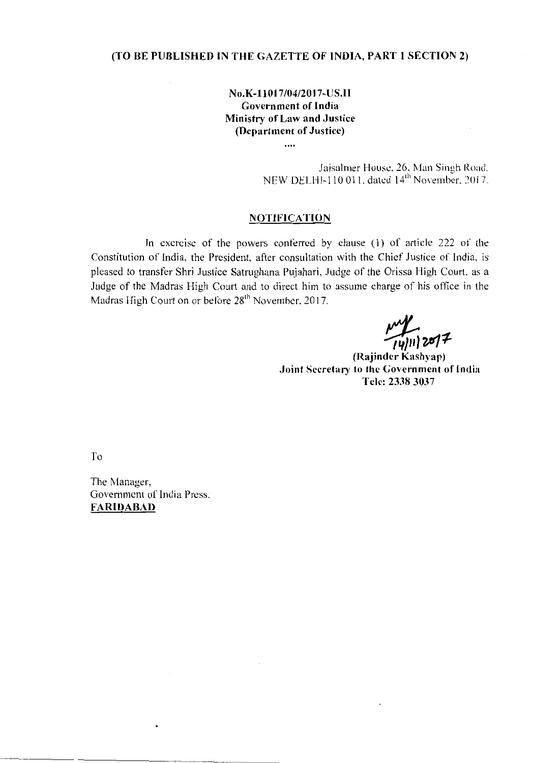# (TO BE PUBLISHED IN THE GAZETTE OF INDIA, PART 1 SECTION 2)

# No.K-l1017/04/2017-US.II Government of India Ministry of Law and Justice (Department of Justice)

....

Jaisalrner HOllSI.!. 26. Man Sinuh Road.  $H = 110011$  dated  $14<sup>th</sup>$  November. 2017.

### **NOTIFICATION**

In exercise of the powers conferred by clause (1) of article 222 of the Constitution of India, the President, after consultation with the Chief Justice of India, is pleased to transfer Shri Justice Satrughana Pujahari, Judge of the Orissa High Court. as a Judge of the Madras High Court and to direct him to assume charge of his office in the Madras High Court on or before 28<sup>th</sup> November, 2017.

----- -------\_. ------------------- -----

*1!;,i7#11-*

(Rajindcr Kashyap) Joint Secretary to the Government of India Tclc: 23383037

To

The Manager, Government of India Press: FARIDABAD